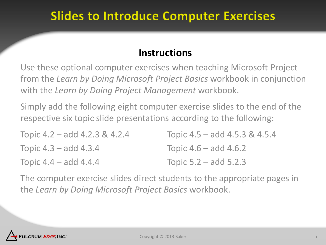## **Slides to Introduce Computer Exercises**

#### **Instructions**

Use these optional computer exercises when teaching Microsoft Project from the *Learn by Doing Microsoft Project Basics* workbook in conjunction with the *Learn by Doing Project Management* workbook.

Simply add the following eight computer exercise slides to the end of the respective six topic slide presentations according to the following:

| Topic 4.2 – add 4.2.3 & 4.2.4 | Topic $4.5 -$ add $4.5.3 \& 4.5.4$ |
|-------------------------------|------------------------------------|
| Topic $4.3$ – add $4.3.4$     | Topic $4.6 -$ add $4.6.2$          |
| Topic 4.4 – add 4.4.4         | Topic $5.2 - add 5.2.3$            |

The computer exercise slides direct students to the appropriate pages in the *Learn by Doing Microsoft Project Basics* workbook.

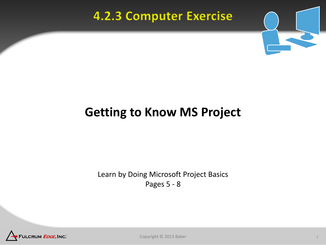## **4.2.3 Computer Exercise**



## **Getting to Know MS Project**

Learn by Doing Microsoft Project Basics Pages 5 - 8

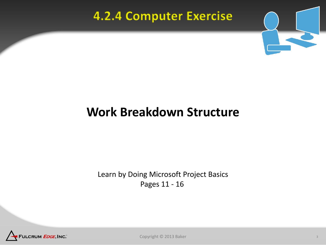## **4.2.4 Computer Exercise**



# **Work Breakdown Structure**

Learn by Doing Microsoft Project Basics Pages 11 - 16

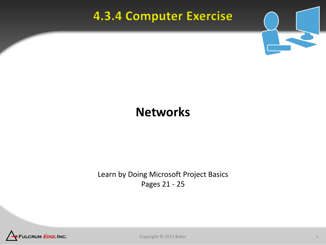## **4.3.4 Computer Exercise**



## **Networks**

Learn by Doing Microsoft Project Basics Pages 21 - 25

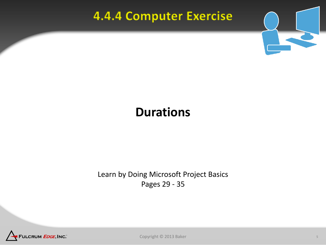## **4.4.4 Computer Exercise**



## **Durations**

Learn by Doing Microsoft Project Basics Pages 29 - 35



Copyright © 2013 Baker 5 and 5 and 5 and 5 and 5 and 5 and 5 and 5 and 5 and 5 and 5 and 5 and 5 and 5 and 5 and 5 and 5 and 5 and 5 and 5 and 5 and 5 and 5 and 5 and 5 and 5 and 5 and 5 and 5 and 5 and 5 and 5 and 5 and 5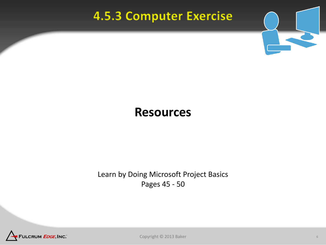## **4.5.3 Computer Exercise**



#### **Resources**

Learn by Doing Microsoft Project Basics Pages 45 - 50

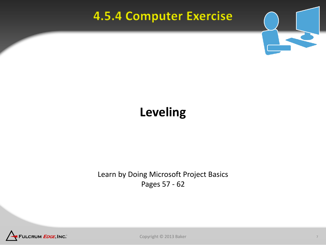## **4.5.4 Computer Exercise**



## **Leveling**

Learn by Doing Microsoft Project Basics Pages 57 - 62

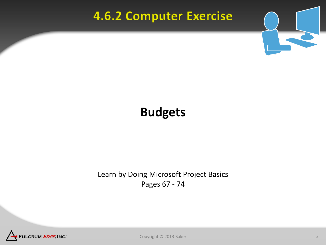## **4.6.2 Computer Exercise**



## **Budgets**

Learn by Doing Microsoft Project Basics Pages 67 - 74